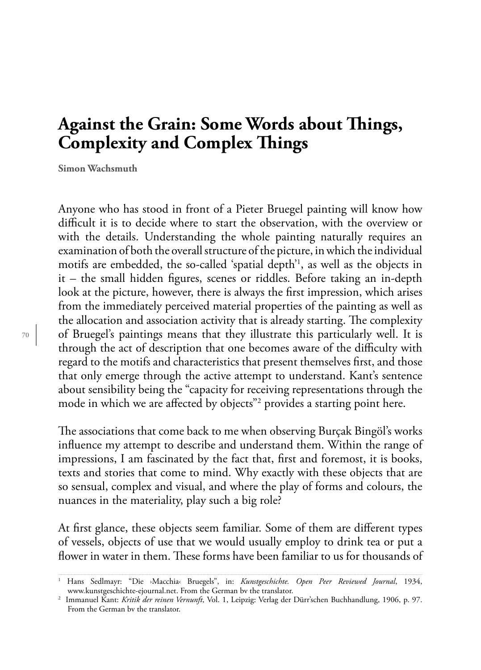## **Against the Grain: Some Words about Tings, Complexity and Complex Tings**

**Simon Wachsmuth**

Anyone who has stood in front of a Pieter Bruegel painting will know how difficult it is to decide where to start the observation, with the overview or with the details. Understanding the whole painting naturally requires an examination of both the overall structure of the picture, in which the individual motifs are embedded, the so-called 'spatial depth'1 , as well as the objects in it – the small hidden figures, scenes or riddles. Before taking an in-depth look at the picture, however, there is always the first impression, which arises from the immediately perceived material properties of the painting as well as the allocation and association activity that is already starting. The complexity of Bruegel's paintings means that they illustrate this particularly well. It is through the act of description that one becomes aware of the difficulty with regard to the motifs and characteristics that present themselves first, and those that only emerge through the active attempt to understand. Kant's sentence about sensibility being the "capacity for receiving representations through the mode in which we are affected by objects"2 provides a starting point here.

The associations that come back to me when observing Burçak Bingöl's works influence my attempt to describe and understand them. Within the range of impressions, I am fascinated by the fact that, first and foremost, it is books, texts and stories that come to mind. Why exactly with these objects that are so sensual, complex and visual, and where the play of forms and colours, the nuances in the materiality, play such a big role?

At first glance, these objects seem familiar. Some of them are different types of vessels, objects of use that we would usually employ to drink tea or put a flower in water in them. These forms have been familiar to us for thousands of

<sup>1</sup> Hans Sedlmayr: "Die ›Macchia‹ Bruegels", in: *Kunstgeschichte. Open Peer Reviewed Journal*, 1934, www.kunstgeschichte-ejournal.net. From the German bv the translator.

<sup>2</sup> Immanuel Kant: *Kritik der reinen Vernunft*, Vol. 1, Leipzig: Verlag der Dürr'schen Buchhandlung, 1906, p. 97. From the German bv the translator.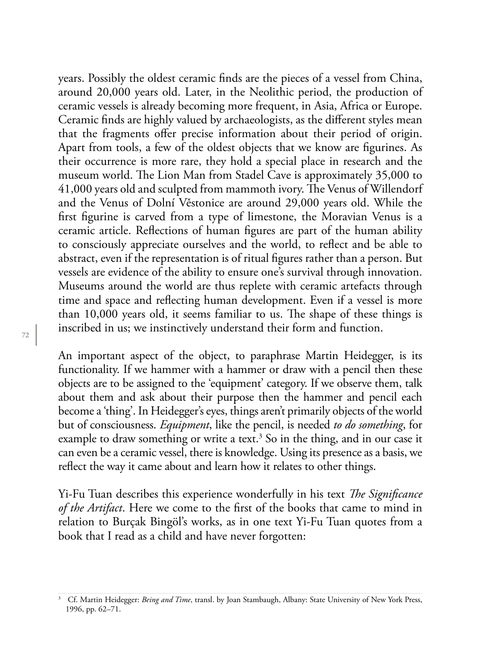years. Possibly the oldest ceramic finds are the pieces of a vessel from China, around 20,000 years old. Later, in the Neolithic period, the production of ceramic vessels is already becoming more frequent, in Asia, Africa or Europe. Ceramic finds are highly valued by archaeologists, as the different styles mean that the fragments offer precise information about their period of origin. Apart from tools, a few of the oldest objects that we know are figurines. As their occurrence is more rare, they hold a special place in research and the museum world. The Lion Man from Stadel Cave is approximately 35,000 to 41,000 years old and sculpted from mammoth ivory. The Venus of Willendorf and the Venus of Dolní Věstonice are around 29,000 years old. While the first figurine is carved from a type of limestone, the Moravian Venus is a ceramic article. Reflections of human figures are part of the human ability to consciously appreciate ourselves and the world, to reflect and be able to abstract, even if the representation is of ritual figures rather than a person. But vessels are evidence of the ability to ensure one's survival through innovation. Museums around the world are thus replete with ceramic artefacts through time and space and reflecting human development. Even if a vessel is more than 10,000 years old, it seems familiar to us. The shape of these things is inscribed in us; we instinctively understand their form and function.

An important aspect of the object, to paraphrase Martin Heidegger, is its functionality. If we hammer with a hammer or draw with a pencil then these objects are to be assigned to the 'equipment' category. If we observe them, talk about them and ask about their purpose then the hammer and pencil each become a 'thing'. In Heidegger's eyes, things aren't primarily objects of the world but of consciousness. *Equipment*, like the pencil, is needed *to do something*, for example to draw something or write a text.<sup>3</sup> So in the thing, and in our case it can even be a ceramic vessel, there is knowledge. Using its presence as a basis, we reflect the way it came about and learn how it relates to other things.

Yi-Fu Tuan describes this experience wonderfully in his text *Te Significance of the Artifact*. Here we come to the first of the books that came to mind in relation to Burçak Bingöl's works, as in one text Yi-Fu Tuan quotes from a book that I read as a child and have never forgotten:

<sup>&</sup>lt;sup>3</sup> Cf. Martin Heidegger: *Being and Time*, transl. by Joan Stambaugh, Albany: State University of New York Press, 1996, pp. 62–71.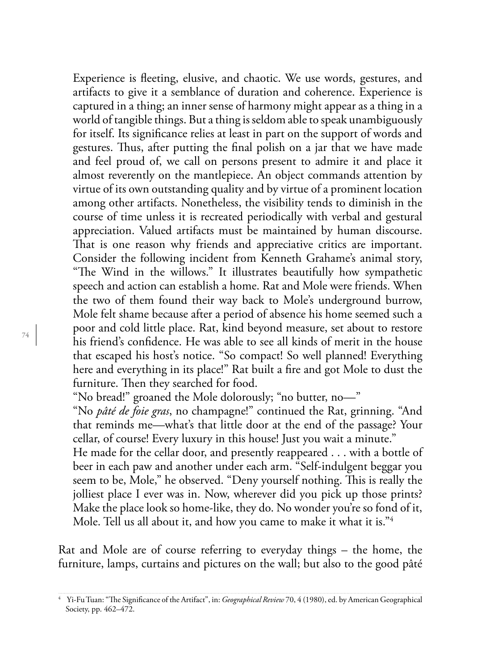Experience is fleeting, elusive, and chaotic. We use words, gestures, and artifacts to give it a semblance of duration and coherence. Experience is captured in a thing; an inner sense of harmony might appear as a thing in a world of tangible things. But a thing is seldom able to speak unambiguously for itself. Its significance relies at least in part on the support of words and gestures. Thus, after putting the final polish on a jar that we have made and feel proud of, we call on persons present to admire it and place it almost reverently on the mantlepiece. An object commands attention by virtue of its own outstanding quality and by virtue of a prominent location among other artifacts. Nonetheless, the visibility tends to diminish in the course of time unless it is recreated periodically with verbal and gestural appreciation. Valued artifacts must be maintained by human discourse. That is one reason why friends and appreciative critics are important. Consider the following incident from Kenneth Grahame's animal story, "The Wind in the willows." It illustrates beautifully how sympathetic speech and action can establish a home. Rat and Mole were friends. When the two of them found their way back to Mole's underground burrow, Mole felt shame because after a period of absence his home seemed such a poor and cold little place. Rat, kind beyond measure, set about to restore his friend's confidence. He was able to see all kinds of merit in the house that escaped his host's notice. "So compact! So well planned! Everything here and everything in its place!" Rat built a fire and got Mole to dust the furniture. Then they searched for food.

"No bread!" groaned the Mole dolorously; "no butter, no—"

"No *pâté de foie gras*, no champagne!" continued the Rat, grinning. "And that reminds me—what's that little door at the end of the passage? Your cellar, of course! Every luxury in this house! Just you wait a minute."

He made for the cellar door, and presently reappeared . . . with a bottle of beer in each paw and another under each arm. "Self-indulgent beggar you seem to be, Mole," he observed. "Deny yourself nothing. This is really the jolliest place I ever was in. Now, wherever did you pick up those prints? Make the place look so home-like, they do. No wonder you're so fond of it, Mole. Tell us all about it, and how you came to make it what it is."4

Rat and Mole are of course referring to everyday things – the home, the furniture, lamps, curtains and pictures on the wall; but also to the good pâté

<sup>4</sup> Yi-Fu Tuan: "Te Significance of the Artifact", in: *Geographical Review* 70, 4 (1980), ed. by American Geographical Society, pp. 462–472.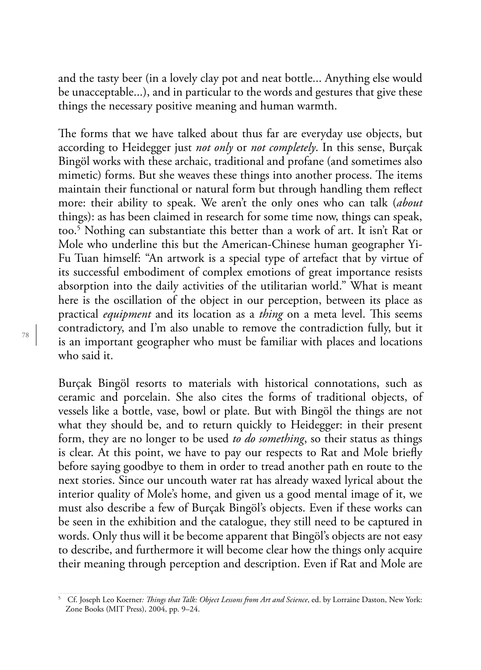and the tasty beer (in a lovely clay pot and neat bottle... Anything else would be unacceptable...), and in particular to the words and gestures that give these things the necessary positive meaning and human warmth.

The forms that we have talked about thus far are everyday use objects, but according to Heidegger just *not only* or *not completely*. In this sense, Burçak Bingöl works with these archaic, traditional and profane (and sometimes also mimetic) forms. But she weaves these things into another process. The items maintain their functional or natural form but through handling them reflect more: their ability to speak. We aren't the only ones who can talk (*about* things): as has been claimed in research for some time now, things can speak, too.5 Nothing can substantiate this better than a work of art. It isn't Rat or Mole who underline this but the American-Chinese human geographer Yi-Fu Tuan himself: "An artwork is a special type of artefact that by virtue of its successful embodiment of complex emotions of great importance resists absorption into the daily activities of the utilitarian world." What is meant here is the oscillation of the object in our perception, between its place as practical *equipment* and its location as a *thing* on a meta level. This seems contradictory, and I'm also unable to remove the contradiction fully, but it is an important geographer who must be familiar with places and locations who said it.

Burçak Bingöl resorts to materials with historical connotations, such as ceramic and porcelain. She also cites the forms of traditional objects, of vessels like a bottle, vase, bowl or plate. But with Bingöl the things are not what they should be, and to return quickly to Heidegger: in their present form, they are no longer to be used *to do something*, so their status as things is clear. At this point, we have to pay our respects to Rat and Mole briefly before saying goodbye to them in order to tread another path en route to the next stories. Since our uncouth water rat has already waxed lyrical about the interior quality of Mole's home, and given us a good mental image of it, we must also describe a few of Burçak Bingöl's objects. Even if these works can be seen in the exhibition and the catalogue, they still need to be captured in words. Only thus will it be become apparent that Bingöl's objects are not easy to describe, and furthermore it will become clear how the things only acquire their meaning through perception and description. Even if Rat and Mole are

<sup>5</sup> Cf. Joseph Leo Koerner*: Tings that Talk: Object Lessons from Art and Science*, ed. by Lorraine Daston, New York: Zone Books (MIT Press), 2004, pp. 9–24.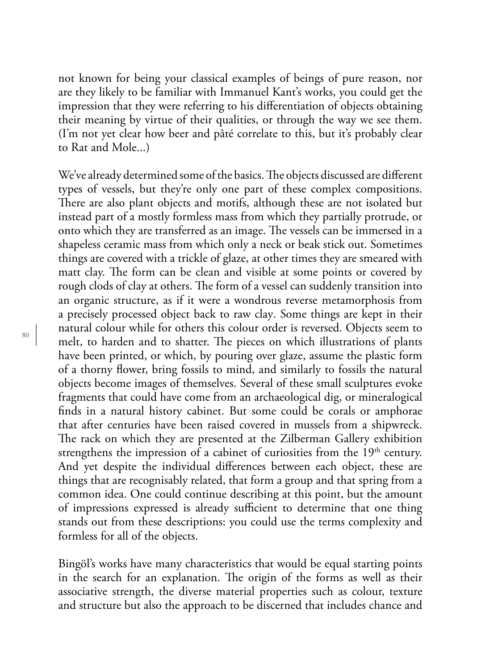not known for being your classical examples of beings of pure reason, nor are they likely to be familiar with Immanuel Kant's works, you could get the impression that they were referring to his differentiation of objects obtaining their meaning by virtue of their qualities, or through the way we see them. (I'm not yet clear how beer and pâté correlate to this, but it's probably clear to Rat and Mole...)

We've already determined some of the basics. The objects discussed are different types of vessels, but they're only one part of these complex compositions. There are also plant objects and motifs, although these are not isolated but instead part of a mostly formless mass from which they partially protrude, or onto which they are transferred as an image. The vessels can be immersed in a shapeless ceramic mass from which only a neck or beak stick out. Sometimes things are covered with a trickle of glaze, at other times they are smeared with matt clay. The form can be clean and visible at some points or covered by rough clods of clay at others. The form of a vessel can suddenly transition into an organic structure, as if it were a wondrous reverse metamorphosis from a precisely processed object back to raw clay. Some things are kept in their natural colour while for others this colour order is reversed. Objects seem to melt, to harden and to shatter. The pieces on which illustrations of plants have been printed, or which, by pouring over glaze, assume the plastic form of a thorny flower, bring fossils to mind, and similarly to fossils the natural objects become images of themselves. Several of these small sculptures evoke fragments that could have come from an archaeological dig, or mineralogical finds in a natural history cabinet. But some could be corals or amphorae that after centuries have been raised covered in mussels from a shipwreck. The rack on which they are presented at the Zilberman Gallery exhibition strengthens the impression of a cabinet of curiosities from the  $19<sup>th</sup>$  century. And yet despite the individual differences between each object, these are things that are recognisably related, that form a group and that spring from a common idea. One could continue describing at this point, but the amount of impressions expressed is already sufficient to determine that one thing stands out from these descriptions: you could use the terms complexity and formless for all of the objects.

Bingöl's works have many characteristics that would be equal starting points in the search for an explanation. The origin of the forms as well as their associative strength, the diverse material properties such as colour, texture and structure but also the approach to be discerned that includes chance and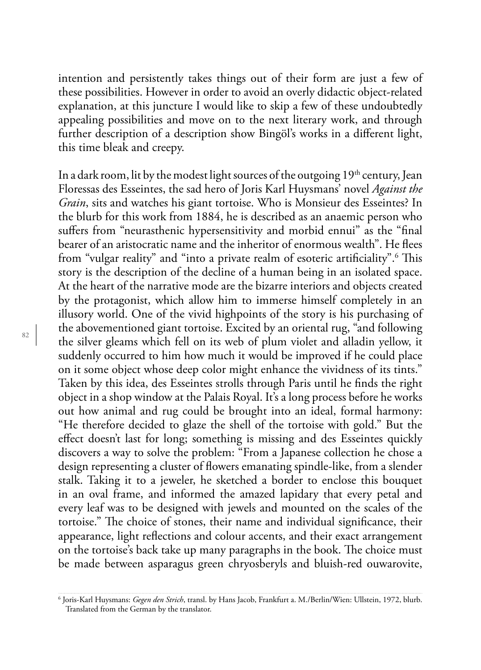intention and persistently takes things out of their form are just a few of these possibilities. However in order to avoid an overly didactic object-related explanation, at this juncture I would like to skip a few of these undoubtedly appealing possibilities and move on to the next literary work, and through further description of a description show Bingöl's works in a different light, this time bleak and creepy.

In a dark room, lit by the modest light sources of the outgoing  $19<sup>th</sup>$  century, Jean Floressas des Esseintes, the sad hero of Joris Karl Huysmans' novel *Against the Grain*, sits and watches his giant tortoise. Who is Monsieur des Esseintes? In the blurb for this work from 1884, he is described as an anaemic person who suffers from "neurasthenic hypersensitivity and morbid ennui" as the "final bearer of an aristocratic name and the inheritor of enormous wealth". He flees from "vulgar reality" and "into a private realm of esoteric artificiality".<sup>6</sup> This story is the description of the decline of a human being in an isolated space. At the heart of the narrative mode are the bizarre interiors and objects created by the protagonist, which allow him to immerse himself completely in an illusory world. One of the vivid highpoints of the story is his purchasing of the abovementioned giant tortoise. Excited by an oriental rug, "and following the silver gleams which fell on its web of plum violet and alladin yellow, it suddenly occurred to him how much it would be improved if he could place on it some object whose deep color might enhance the vividness of its tints." Taken by this idea, des Esseintes strolls through Paris until he finds the right object in a shop window at the Palais Royal. It's a long process before he works out how animal and rug could be brought into an ideal, formal harmony: "He therefore decided to glaze the shell of the tortoise with gold." But the effect doesn't last for long; something is missing and des Esseintes quickly discovers a way to solve the problem: "From a Japanese collection he chose a design representing a cluster of flowers emanating spindle-like, from a slender stalk. Taking it to a jeweler, he sketched a border to enclose this bouquet in an oval frame, and informed the amazed lapidary that every petal and every leaf was to be designed with jewels and mounted on the scales of the tortoise." The choice of stones, their name and individual significance, their appearance, light reflections and colour accents, and their exact arrangement on the tortoise's back take up many paragraphs in the book. The choice must be made between asparagus green chryosberyls and bluish-red ouwarovite,

<sup>6</sup> Joris-Karl Huysmans: *Gegen den Strich*, transl. by Hans Jacob, Frankfurt a. M./Berlin/Wien: Ullstein, 1972, blurb. Translated from the German by the translator.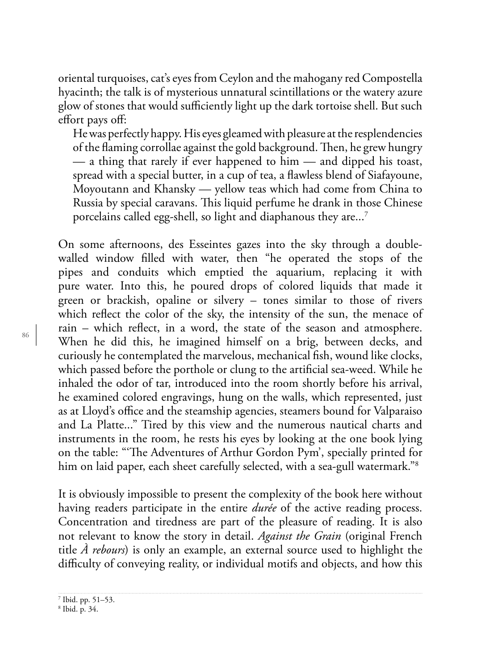oriental turquoises, cat's eyes from Ceylon and the mahogany red Compostella hyacinth; the talk is of mysterious unnatural scintillations or the watery azure glow of stones that would sufficiently light up the dark tortoise shell. But such effort pays off:

He was perfectly happy. His eyes gleamed with pleasure at the resplendencies of the flaming corrollae against the gold background. Then, he grew hungry — a thing that rarely if ever happened to him — and dipped his toast, spread with a special butter, in a cup of tea, a flawless blend of Siafayoune, Moyoutann and Khansky — yellow teas which had come from China to Russia by special caravans. This liquid perfume he drank in those Chinese porcelains called egg-shell, so light and diaphanous they are...<sup>7</sup>

On some afternoons, des Esseintes gazes into the sky through a doublewalled window filled with water, then "he operated the stops of the pipes and conduits which emptied the aquarium, replacing it with pure water. Into this, he poured drops of colored liquids that made it green or brackish, opaline or silvery – tones similar to those of rivers which reflect the color of the sky, the intensity of the sun, the menace of rain – which reflect, in a word, the state of the season and atmosphere. When he did this, he imagined himself on a brig, between decks, and curiously he contemplated the marvelous, mechanical fish, wound like clocks, which passed before the porthole or clung to the artificial sea-weed. While he inhaled the odor of tar, introduced into the room shortly before his arrival, he examined colored engravings, hung on the walls, which represented, just as at Lloyd's office and the steamship agencies, steamers bound for Valparaiso and La Platte..." Tired by this view and the numerous nautical charts and instruments in the room, he rests his eyes by looking at the one book lying on the table: "The Adventures of Arthur Gordon Pym', specially printed for him on laid paper, each sheet carefully selected, with a sea-gull watermark."<sup>8</sup>

It is obviously impossible to present the complexity of the book here without having readers participate in the entire *durée* of the active reading process. Concentration and tiredness are part of the pleasure of reading. It is also not relevant to know the story in detail. *Against the Grain* (original French title *À rebours*) is only an example, an external source used to highlight the difficulty of conveying reality, or individual motifs and objects, and how this

<sup>7</sup> Ibid. pp. 51–53.

<sup>8</sup> Ibid. p. 34.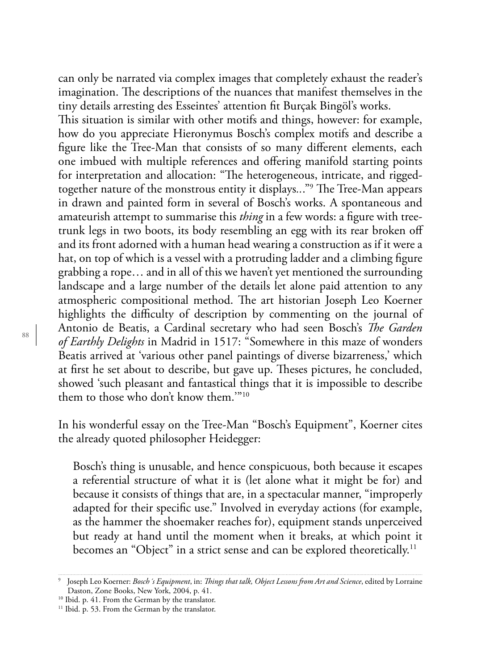can only be narrated via complex images that completely exhaust the reader's imagination. The descriptions of the nuances that manifest themselves in the tiny details arresting des Esseintes' attention fit Burçak Bingöl's works.

This situation is similar with other motifs and things, however: for example, how do you appreciate Hieronymus Bosch's complex motifs and describe a figure like the Tree-Man that consists of so many different elements, each one imbued with multiple references and offering manifold starting points for interpretation and allocation: "The heterogeneous, intricate, and riggedtogether nature of the monstrous entity it displays..."<sup>9</sup> The Tree-Man appears in drawn and painted form in several of Bosch's works. A spontaneous and amateurish attempt to summarise this *thing* in a few words: a figure with treetrunk legs in two boots, its body resembling an egg with its rear broken off and its front adorned with a human head wearing a construction as if it were a hat, on top of which is a vessel with a protruding ladder and a climbing figure grabbing a rope… and in all of this we haven't yet mentioned the surrounding landscape and a large number of the details let alone paid attention to any atmospheric compositional method. The art historian Joseph Leo Koerner highlights the difficulty of description by commenting on the journal of Antonio de Beatis, a Cardinal secretary who had seen Bosch's *Te Garden of Earthly Delights* in Madrid in 1517: "Somewhere in this maze of wonders Beatis arrived at 'various other panel paintings of diverse bizarreness,' which at first he set about to describe, but gave up. Theses pictures, he concluded, showed 'such pleasant and fantastical things that it is impossible to describe them to those who don't know them.'"10

In his wonderful essay on the Tree-Man "Bosch's Equipment", Koerner cites the already quoted philosopher Heidegger:

Bosch's thing is unusable, and hence conspicuous, both because it escapes a referential structure of what it is (let alone what it might be for) and because it consists of things that are, in a spectacular manner, "improperly adapted for their specific use." Involved in everyday actions (for example, as the hammer the shoemaker reaches for), equipment stands unperceived but ready at hand until the moment when it breaks, at which point it becomes an "Object" in a strict sense and can be explored theoretically.<sup>11</sup>

<sup>9</sup> Joseph Leo Koerner: *Bosch´s Equipment*, in: *Tings that talk, Object Lessons from Art and Science*, edited by Lorraine Daston, Zone Books, New York, 2004, p. 41.

<sup>10</sup> Ibid. p. 41. From the German by the translator.

<sup>&</sup>lt;sup>11</sup> Ibid. p. 53. From the German by the translator.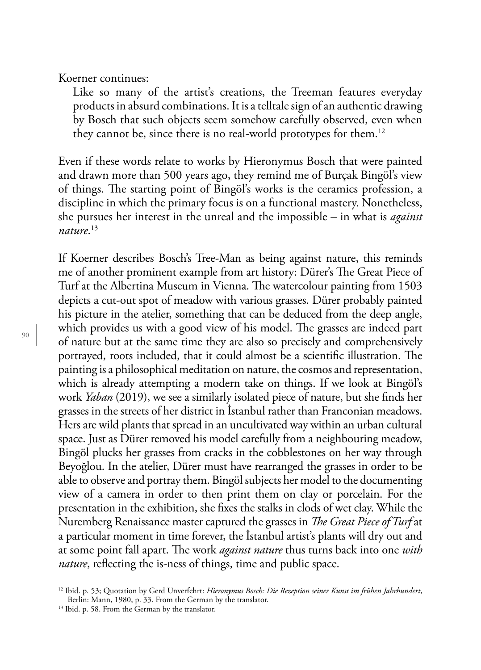Koerner continues:

Like so many of the artist's creations, the Treeman features everyday products in absurd combinations. It is a telltale sign of an authentic drawing by Bosch that such objects seem somehow carefully observed, even when they cannot be, since there is no real-world prototypes for them.<sup>12</sup>

Even if these words relate to works by Hieronymus Bosch that were painted and drawn more than 500 years ago, they remind me of Burçak Bingöl's view of things. The starting point of Bingöl's works is the ceramics profession, a discipline in which the primary focus is on a functional mastery. Nonetheless, she pursues her interest in the unreal and the impossible – in what is *against nature*. 13

If Koerner describes Bosch's Tree-Man as being against nature, this reminds me of another prominent example from art history: Dürer's The Great Piece of Turf at the Albertina Museum in Vienna. The watercolour painting from 1503 depicts a cut-out spot of meadow with various grasses. Dürer probably painted his picture in the atelier, something that can be deduced from the deep angle, which provides us with a good view of his model. The grasses are indeed part of nature but at the same time they are also so precisely and comprehensively portrayed, roots included, that it could almost be a scientific illustration. The painting is a philosophical meditation on nature, the cosmos and representation, which is already attempting a modern take on things. If we look at Bingöl's work *Yaban* (2019), we see a similarly isolated piece of nature, but she finds her grasses in the streets of her district in İstanbul rather than Franconian meadows. Hers are wild plants that spread in an uncultivated way within an urban cultural space. Just as Dürer removed his model carefully from a neighbouring meadow, Bingöl plucks her grasses from cracks in the cobblestones on her way through Beyoğlou. In the atelier, Dürer must have rearranged the grasses in order to be able to observe and portray them. Bingöl subjects her model to the documenting view of a camera in order to then print them on clay or porcelain. For the presentation in the exhibition, she fixes the stalks in clods of wet clay. While the Nuremberg Renaissance master captured the grasses in *Te Great Piece of Turf* at a particular moment in time forever, the İstanbul artist's plants will dry out and at some point fall apart. The work *against nature* thus turns back into one *with nature*, reflecting the is-ness of things, time and public space.

<sup>12</sup> Ibid. p. 53; Quotation by Gerd Unverfehrt: *Hieronymus Bosch: Die Rezeption seiner Kunst im frühen Jahrhundert*, Berlin: Mann, 1980, p. 33. From the German by the translator.

<sup>&</sup>lt;sup>13</sup> Ibid. p. 58. From the German by the translator.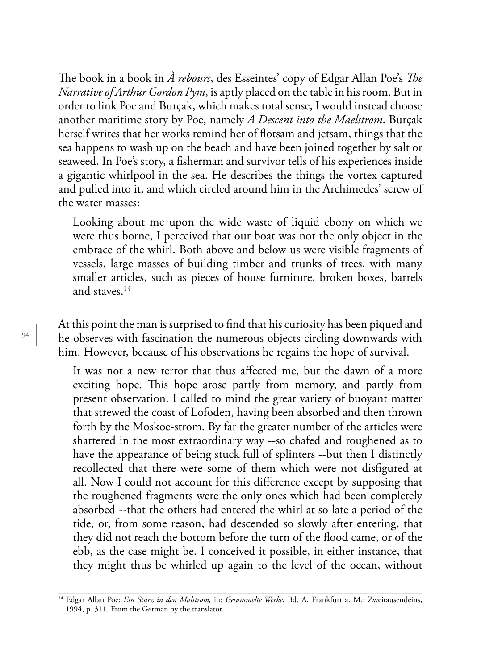The book in a book in  $\hat{A}$  rebours, des Esseintes' copy of Edgar Allan Poe's *The Narrative of Arthur Gordon Pym*, is aptly placed on the table in his room. But in order to link Poe and Burçak, which makes total sense, I would instead choose another maritime story by Poe, namely *A Descent into the Maelstrom*. Burçak herself writes that her works remind her of flotsam and jetsam, things that the sea happens to wash up on the beach and have been joined together by salt or seaweed. In Poe's story, a fisherman and survivor tells of his experiences inside a gigantic whirlpool in the sea. He describes the things the vortex captured and pulled into it, and which circled around him in the Archimedes' screw of the water masses:

Looking about me upon the wide waste of liquid ebony on which we were thus borne, I perceived that our boat was not the only object in the embrace of the whirl. Both above and below us were visible fragments of vessels, large masses of building timber and trunks of trees, with many smaller articles, such as pieces of house furniture, broken boxes, barrels and staves.14

At this point the man is surprised to find that his curiosity has been piqued and he observes with fascination the numerous objects circling downwards with him. However, because of his observations he regains the hope of survival.

It was not a new terror that thus affected me, but the dawn of a more exciting hope. This hope arose partly from memory, and partly from present observation. I called to mind the great variety of buoyant matter that strewed the coast of Lofoden, having been absorbed and then thrown forth by the Moskoe-strom. By far the greater number of the articles were shattered in the most extraordinary way --so chafed and roughened as to have the appearance of being stuck full of splinters --but then I distinctly recollected that there were some of them which were not disfigured at all. Now I could not account for this difference except by supposing that the roughened fragments were the only ones which had been completely absorbed --that the others had entered the whirl at so late a period of the tide, or, from some reason, had descended so slowly after entering, that they did not reach the bottom before the turn of the flood came, or of the ebb, as the case might be. I conceived it possible, in either instance, that they might thus be whirled up again to the level of the ocean, without

<sup>14</sup> Edgar Allan Poe: *Ein Sturz in den Malstrom,* in: *Gesammelte Werke*, Bd. A, Frankfurt a. M.: Zweitausendeins, 1994, p. 311. From the German by the translator.